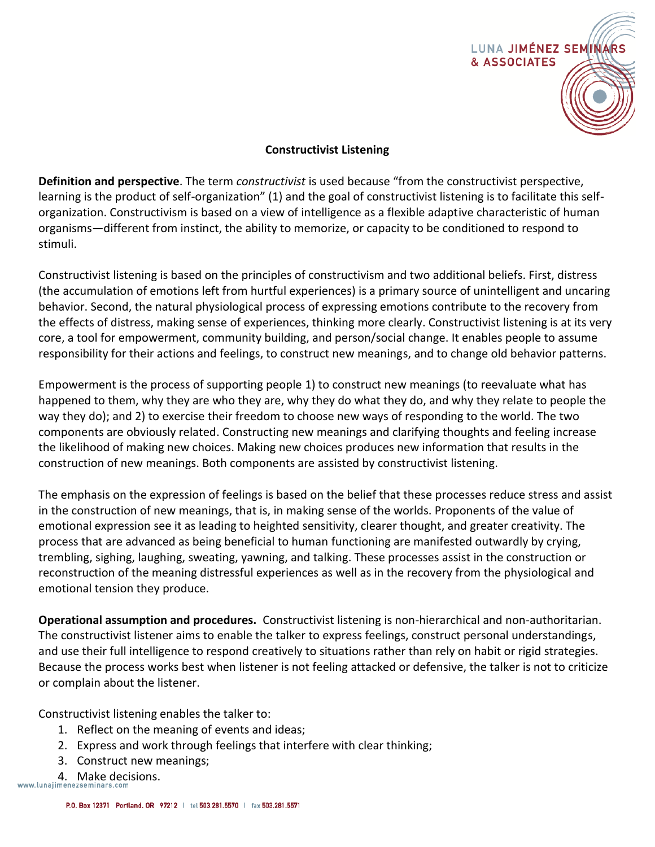

## **Constructivist Listening**

**Definition and perspective**. The term *constructivist* is used because "from the constructivist perspective, learning is the product of self-organization" (1) and the goal of constructivist listening is to facilitate this selforganization. Constructivism is based on a view of intelligence as a flexible adaptive characteristic of human organisms—different from instinct, the ability to memorize, or capacity to be conditioned to respond to stimuli.

Constructivist listening is based on the principles of constructivism and two additional beliefs. First, distress (the accumulation of emotions left from hurtful experiences) is a primary source of unintelligent and uncaring behavior. Second, the natural physiological process of expressing emotions contribute to the recovery from the effects of distress, making sense of experiences, thinking more clearly. Constructivist listening is at its very core, a tool for empowerment, community building, and person/social change. It enables people to assume responsibility for their actions and feelings, to construct new meanings, and to change old behavior patterns.

Empowerment is the process of supporting people 1) to construct new meanings (to reevaluate what has happened to them, why they are who they are, why they do what they do, and why they relate to people the way they do); and 2) to exercise their freedom to choose new ways of responding to the world. The two components are obviously related. Constructing new meanings and clarifying thoughts and feeling increase the likelihood of making new choices. Making new choices produces new information that results in the construction of new meanings. Both components are assisted by constructivist listening.

The emphasis on the expression of feelings is based on the belief that these processes reduce stress and assist in the construction of new meanings, that is, in making sense of the worlds. Proponents of the value of emotional expression see it as leading to heighted sensitivity, clearer thought, and greater creativity. The process that are advanced as being beneficial to human functioning are manifested outwardly by crying, trembling, sighing, laughing, sweating, yawning, and talking. These processes assist in the construction or reconstruction of the meaning distressful experiences as well as in the recovery from the physiological and emotional tension they produce.

**Operational assumption and procedures.** Constructivist listening is non-hierarchical and non-authoritarian. The constructivist listener aims to enable the talker to express feelings, construct personal understandings, and use their full intelligence to respond creatively to situations rather than rely on habit or rigid strategies. Because the process works best when listener is not feeling attacked or defensive, the talker is not to criticize or complain about the listener.

Constructivist listening enables the talker to:

- 1. Reflect on the meaning of events and ideas;
- 2. Express and work through feelings that interfere with clear thinking;
- 3. Construct new meanings;
- 4. Make decisions.